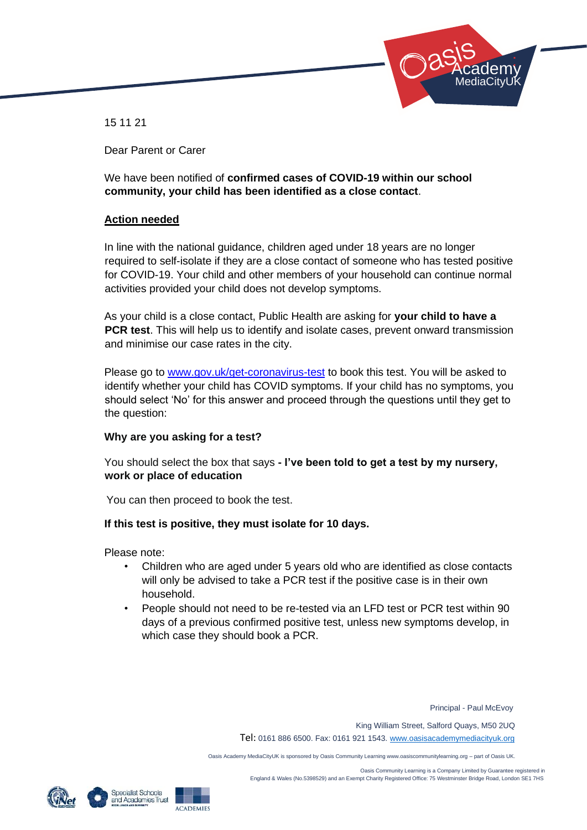

15 11 21

Dear Parent or Carer

We have been notified of **confirmed cases of COVID-19 within our school community, your child has been identified as a close contact**.

# **Action needed**

In line with the national guidance, children aged under 18 years are no longer required to self-isolate if they are a close contact of someone who has tested positive for COVID-19. Your child and other members of your household can continue normal activities provided your child does not develop symptoms.

As your child is a close contact, Public Health are asking for **your child to have a PCR test**. This will help us to identify and isolate cases, prevent onward transmission and minimise our case rates in the city.

Please go to www.gov.uk/get-coronavirus-test to book this test. You will be asked to identify whether your child has COVID symptoms. If your child has no symptoms, you should select 'No' for this answer and proceed through the questions until they get to the question:

## **Why are you asking for a test?**

You should select the box that says **- I've been told to get a test by my nursery, work or place of education** 

You can then proceed to book the test.

## **If this test is positive, they must isolate for 10 days.**

Please note:

- Children who are aged under 5 years old who are identified as close contacts will only be advised to take a PCR test if the positive case is in their own household.
- People should not need to be re-tested via an LFD test or PCR test within 90 days of a previous confirmed positive test, unless new symptoms develop, in which case they should book a PCR.

Principal - Paul McEvoy

King William Street, Salford Quays, M50 2UQ

Tel: 0161 886 6500. Fax: 0161 921 1543[. www.oasisacademymediacityuk.org](http://www.oasisacademymediacityuk.org/)

Oasis Academy MediaCityUK is sponsored by Oasis Community Learning www.oasiscommunitylearning.org – part of Oasis UK.

 Oasis Community Learning is a Company Limited by Guarantee registered in England & Wales (No.5398529) and an Exempt Charity Registered Office: 75 Westminster Bridge Road, London SE1 7HS



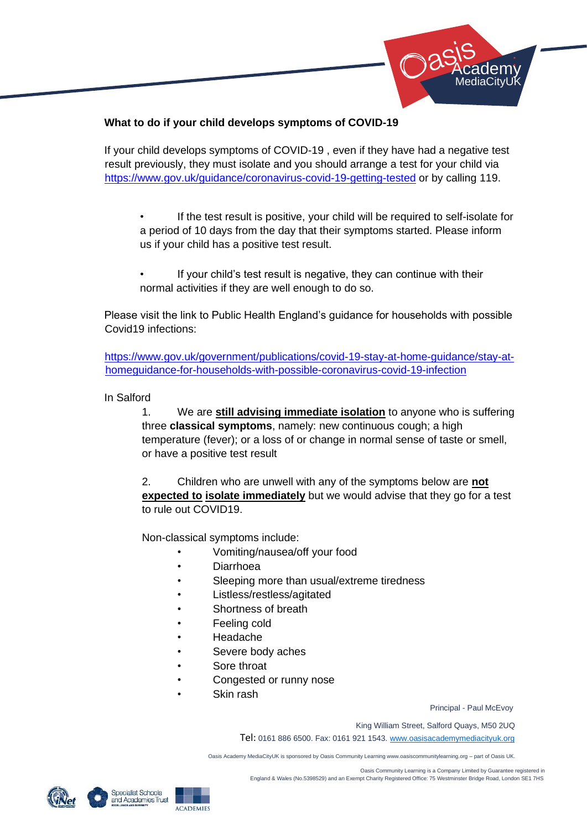

# **What to do if your child develops symptoms of COVID-19**

If your child develops symptoms of COVID-19 , even if they have had a negative test result previously, they must isolate and you should arrange a test for your child via <https://www.gov.uk/guidance/coronavirus-covid-19-getting-tested> [or](https://www.gov.uk/guidance/coronavirus-covid-19-getting-tested) by calling 119.

- If the test result is positive, your child will be required to self-isolate for a period of 10 days from the day that their symptoms started. Please inform us if your child has a positive test result.
- If your child's test result is negative, they can continue with their normal activities if they are well enough to do so.

Please visit the link to Public Health England's guidance for households with possible Covid19 infections:

[https://www.gov.uk/government/publications/covid-19-stay-at-home-guidance/stay-at](https://www.gov.uk/government/publications/covid-19-stay-at-home-guidance/stay-at-home-guidance-for-households-with-possible-coronavirus-covid-19-infection)[homeguidance-for-households-with-possible-coronavirus-covid-19-infection](https://www.gov.uk/government/publications/covid-19-stay-at-home-guidance/stay-at-home-guidance-for-households-with-possible-coronavirus-covid-19-infection) 

In Salford

1. We are **still advising immediate isolation** to anyone who is suffering three **classical symptoms**, namely: new continuous cough; a high temperature (fever); or a loss of or change in normal sense of taste or smell, or have a positive test result

2. Children who are unwell with any of the symptoms below are **not expected to isolate immediately** but we would advise that they go for a test to rule out COVID19.

Non-classical symptoms include:

- Vomiting/nausea/off your food
- **Diarrhoea**
- Sleeping more than usual/extreme tiredness
- Listless/restless/agitated
- Shortness of breath
- Feeling cold
- Headache
- Severe body aches
- Sore throat
- Congested or runny nose
- Skin rash

Principal - Paul McEvoy

King William Street, Salford Quays, M50 2UQ

Tel: 0161 886 6500. Fax: 0161 921 1543[. www.oasisacademymediacityuk.org](http://www.oasisacademymediacityuk.org/)

Oasis Academy MediaCityUK is sponsored by Oasis Community Learning www.oasiscommunitylearning.org – part of Oasis UK.



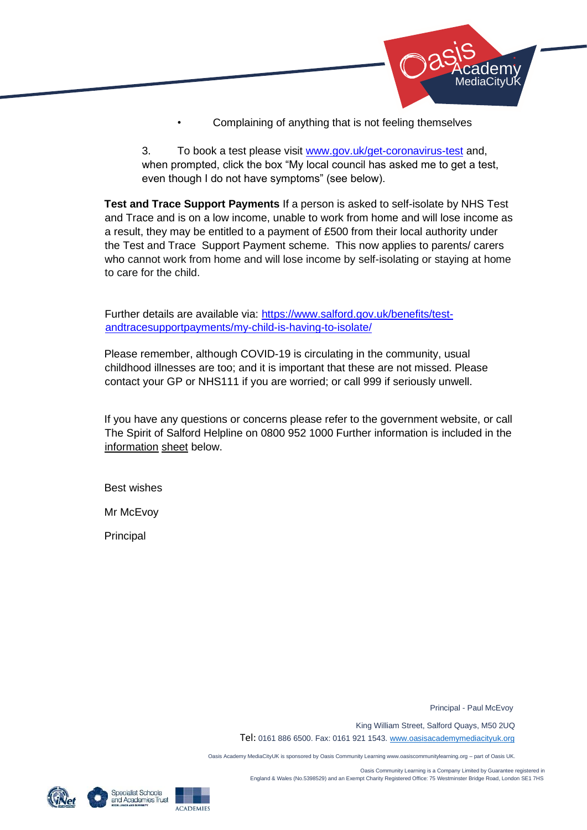

• Complaining of anything that is not feeling themselves

3. To book a test please visit [www.gov.uk/get-coronavirus-test](http://www.gov.uk/get-coronavirus-test) [and](http://www.gov.uk/get-coronavirus-test), when prompted, click the box "My local council has asked me to get a test, even though I do not have symptoms" (see below).

**Test and Trace Support Payments** If a person is asked to self-isolate by NHS Test and Trace and is on a low income, unable to work from home and will lose income as a result, they may be entitled to a payment of £500 from their local authority under the Test and Trace Support Payment scheme. This now applies to parents/ carers who cannot work from home and will lose income by self-isolating or staying at home to care for the child.

Further details are available via: [https://www.salford.gov.uk/benefits/test](https://www.salford.gov.uk/benefits/test-and-trace-support-payments/my-child-is-having-to-isolate/)[andtracesupportpayments/my-child-is-having-to-isolate/](https://www.salford.gov.uk/benefits/test-and-trace-support-payments/my-child-is-having-to-isolate/) 

Please remember, although COVID-19 is circulating in the community, usual childhood illnesses are too; and it is important that these are not missed. Please contact your GP or NHS111 if you are worried; or call 999 if seriously unwell.

If you have any questions or concerns please refer to the government website, or call The Spirit of Salford Helpline on 0800 952 1000 Further information is included in the information sheet below.

Best wishes

Mr McEvoy

Principal

Principal - Paul McEvoy

King William Street, Salford Quays, M50 2UQ

Tel: 0161 886 6500. Fax: 0161 921 1543[. www.oasisacademymediacityuk.org](http://www.oasisacademymediacityuk.org/)

Oasis Academy MediaCityUK is sponsored by Oasis Community Learning www.oasiscommunitylearning.org – part of Oasis UK.

 Oasis Community Learning is a Company Limited by Guarantee registered in England & Wales (No.5398529) and an Exempt Charity Registered Office: 75 Westminster Bridge Road, London SE1 7HS